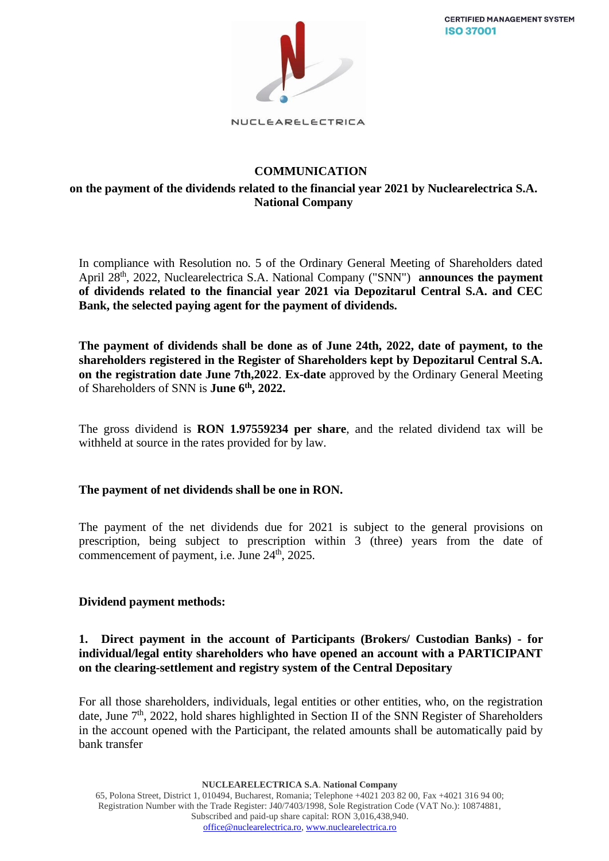**CERTIFIED MANAGEMENT SYSTEM ISO 37001** 



NUCLEARELECTRICA

# **COMMUNICATION**

## **on the payment of the dividends related to the financial year 2021 by Nuclearelectrica S.A. National Company**

In compliance with Resolution no. 5 of the Ordinary General Meeting of Shareholders dated April 28<sup>th</sup>, 2022, Nuclearelectrica S.A. National Company ("SNN") **announces the payment of dividends related to the financial year 2021 via Depozitarul Central S.A. and CEC Bank, the selected paying agent for the payment of dividends.**

**The payment of dividends shall be done as of June 24th, 2022, date of payment, to the shareholders registered in the Register of Shareholders kept by Depozitarul Central S.A. on the registration date June 7th,2022**. **Ex-date** approved by the Ordinary General Meeting of Shareholders of SNN is **June 6th, 2022.**

The gross dividend is **RON 1.97559234 per share**, and the related dividend tax will be withheld at source in the rates provided for by law.

## **The payment of net dividends shall be one in RON.**

The payment of the net dividends due for 2021 is subject to the general provisions on prescription, being subject to prescription within 3 (three) years from the date of commencement of payment, i.e. June  $24<sup>th</sup>$ , 2025.

### **Dividend payment methods:**

### **1. Direct payment in the account of Participants (Brokers/ Custodian Banks) - for individual/legal entity shareholders who have opened an account with a PARTICIPANT on the clearing-settlement and registry system of the Central Depositary**

For all those shareholders, individuals, legal entities or other entities, who, on the registration date, June 7<sup>th</sup>, 2022, hold shares highlighted in Section II of the SNN Register of Shareholders in the account opened with the Participant, the related amounts shall be automatically paid by bank transfer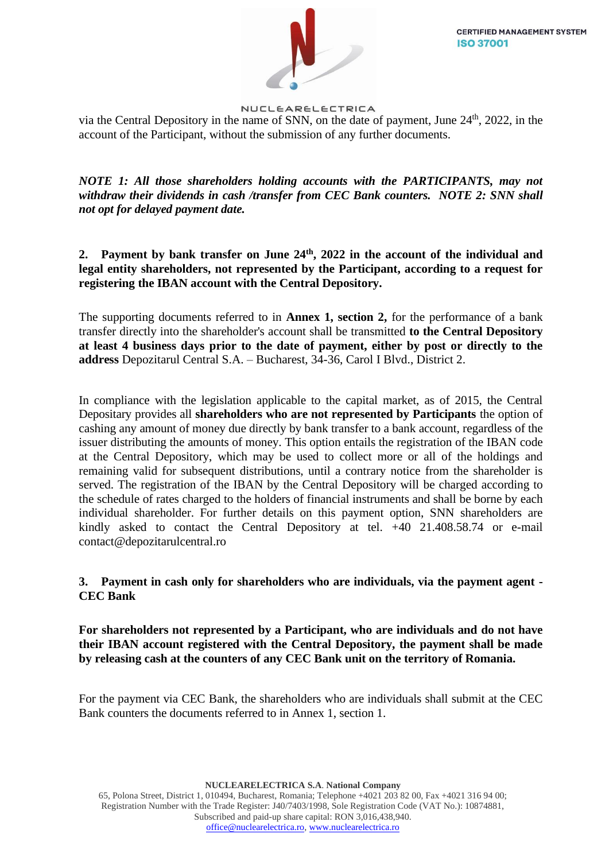

via the Central Depository in the name of SNN, on the date of payment, June  $24<sup>th</sup>$ , 2022, in the account of the Participant, without the submission of any further documents.

*NOTE 1: All those shareholders holding accounts with the PARTICIPANTS, may not withdraw their dividends in cash /transfer from CEC Bank counters. NOTE 2: SNN shall not opt for delayed payment date.*

**2. Payment by bank transfer on June 24th, 2022 in the account of the individual and legal entity shareholders, not represented by the Participant, according to a request for registering the IBAN account with the Central Depository.**

The supporting documents referred to in **Annex 1, section 2,** for the performance of a bank transfer directly into the shareholder's account shall be transmitted **to the Central Depository at least 4 business days prior to the date of payment, either by post or directly to the address** Depozitarul Central S.A. – Bucharest, 34-36, Carol I Blvd., District 2.

In compliance with the legislation applicable to the capital market, as of 2015, the Central Depositary provides all **shareholders who are not represented by Participants** the option of cashing any amount of money due directly by bank transfer to a bank account, regardless of the issuer distributing the amounts of money. This option entails the registration of the IBAN code at the Central Depository, which may be used to collect more or all of the holdings and remaining valid for subsequent distributions, until a contrary notice from the shareholder is served. The registration of the IBAN by the Central Depository will be charged according to the schedule of rates charged to the holders of financial instruments and shall be borne by each individual shareholder. For further details on this payment option, SNN shareholders are kindly asked to contact the Central Depository at tel. +40 21.408.58.74 or e-mail [contact@depozitarulcentral.ro](mailto:contact@depozitarulcentral.ro)

## **3. Payment in cash only for shareholders who are individuals, via the payment agent - CEC Bank**

**For shareholders not represented by a Participant, who are individuals and do not have their IBAN account registered with the Central Depository, the payment shall be made by releasing cash at the counters of any CEC Bank unit on the territory of Romania.**

For the payment via CEC Bank, the shareholders who are individuals shall submit at the CEC Bank counters the documents referred to in Annex 1, section 1.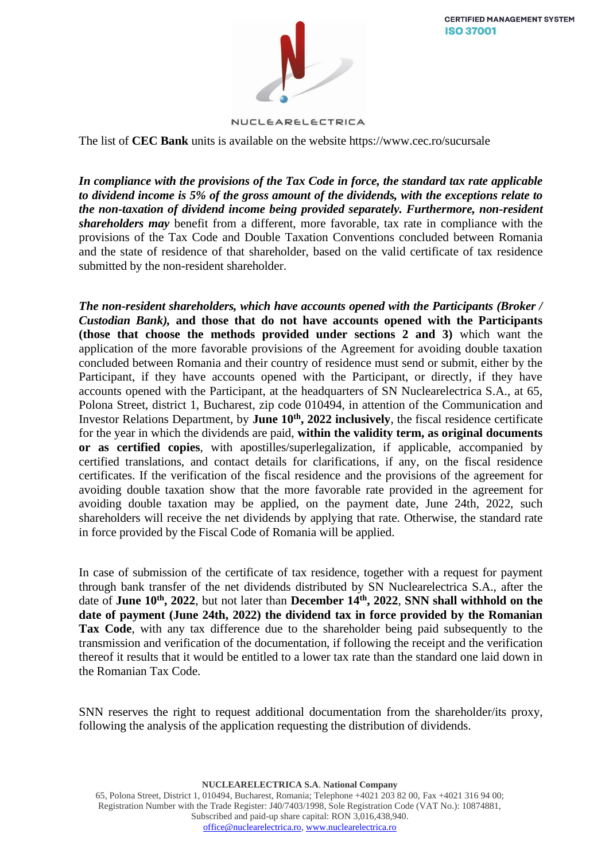**CERTIFIED MANAGEMENT SYSTEM ISO 37001** 



NUCLEARELECTRICA

The list of **CEC Bank** units is available on the website [https://www.cec.ro/sucursale](http://www.cec.ro/sucursale)

*In compliance with the provisions of the Tax Code in force, the standard tax rate applicable to dividend income is 5% of the gross amount of the dividends, with the exceptions relate to the non-taxation of dividend income being provided separately. Furthermore, non-resident shareholders may* benefit from a different, more favorable, tax rate in compliance with the provisions of the Tax Code and Double Taxation Conventions concluded between Romania and the state of residence of that shareholder, based on the valid certificate of tax residence submitted by the non-resident shareholder.

*The non-resident shareholders, which have accounts opened with the Participants (Broker / Custodian Bank),* **and those that do not have accounts opened with the Participants (those that choose the methods provided under sections 2 and 3)** which want the application of the more favorable provisions of the Agreement for avoiding double taxation concluded between Romania and their country of residence must send or submit, either by the Participant, if they have accounts opened with the Participant, or directly, if they have accounts opened with the Participant, at the headquarters of SN Nuclearelectrica S.A., at 65, Polona Street, district 1, Bucharest, zip code 010494, in attention of the Communication and Investor Relations Department, by **June 10th, 2022 inclusively**, the fiscal residence certificate for the year in which the dividends are paid, **within the validity term, as original documents or as certified copies**, with apostilles/superlegalization, if applicable, accompanied by certified translations, and contact details for clarifications, if any, on the fiscal residence certificates. If the verification of the fiscal residence and the provisions of the agreement for avoiding double taxation show that the more favorable rate provided in the agreement for avoiding double taxation may be applied, on the payment date, June 24th, 2022, such shareholders will receive the net dividends by applying that rate. Otherwise, the standard rate in force provided by the Fiscal Code of Romania will be applied.

In case of submission of the certificate of tax residence, together with a request for payment through bank transfer of the net dividends distributed by SN Nuclearelectrica S.A., after the date of **June 10th, 2022**, but not later than **December 14th , 2022**, **SNN shall withhold on the date of payment (June 24th, 2022) the dividend tax in force provided by the Romanian Tax Code**, with any tax difference due to the shareholder being paid subsequently to the transmission and verification of the documentation, if following the receipt and the verification thereof it results that it would be entitled to a lower tax rate than the standard one laid down in the Romanian Tax Code.

SNN reserves the right to request additional documentation from the shareholder/its proxy, following the analysis of the application requesting the distribution of dividends.

**NUCLEARELECTRICA S.A**. **National Company**

65, Polona Street, District 1, 010494, Bucharest, Romania; Telephone +4021 203 82 00, Fax +4021 316 94 00; Registration Number with the Trade Register: J40/7403/1998, Sole Registration Code (VAT No.): 10874881, Subscribed and paid-up share capital: RON 3,016,438,940. [office@nuclearelectrica.ro,](mailto:office@nuclearelectrica.ro) [www.nuclearelectrica.ro](http://www.nuclearelectrica.ro/)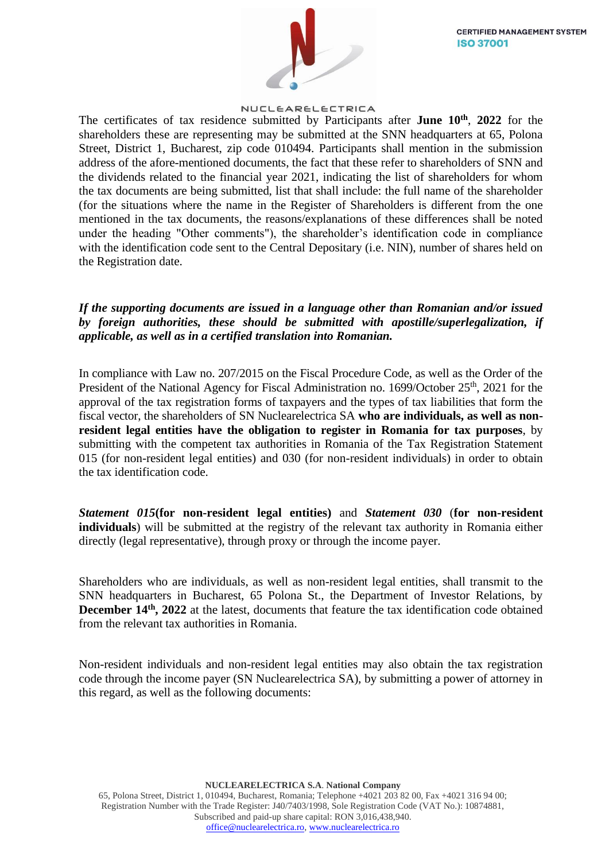

The certificates of tax residence submitted by Participants after **June 10th** , **2022** for the shareholders these are representing may be submitted at the SNN headquarters at 65, Polona Street, District 1, Bucharest, zip code 010494. Participants shall mention in the submission address of the afore-mentioned documents, the fact that these refer to shareholders of SNN and the dividends related to the financial year 2021, indicating the list of shareholders for whom the tax documents are being submitted, list that shall include: the full name of the shareholder (for the situations where the name in the Register of Shareholders is different from the one mentioned in the tax documents, the reasons/explanations of these differences shall be noted under the heading "Other comments"), the shareholder's identification code in compliance with the identification code sent to the Central Depositary (i.e. NIN), number of shares held on the Registration date.

*If the supporting documents are issued in a language other than Romanian and/or issued by foreign authorities, these should be submitted with apostille/superlegalization, if applicable, as well as in a certified translation into Romanian.*

In compliance with Law no. 207/2015 on the Fiscal Procedure Code, as well as the Order of the President of the National Agency for Fiscal Administration no. 1699/October 25<sup>th</sup>, 2021 for the approval of the tax registration forms of taxpayers and the types of tax liabilities that form the fiscal vector, the shareholders of SN Nuclearelectrica SA **who are individuals, as well as nonresident legal entities have the obligation to register in Romania for tax purposes**, by submitting with the competent tax authorities in Romania of the Tax Registration Statement 015 (for non-resident legal entities) and 030 (for non-resident individuals) in order to obtain the tax identification code.

*Statement 015***(for non-resident legal entities)** and *Statement 030* (**for non-resident individuals**) will be submitted at the registry of the relevant tax authority in Romania either directly (legal representative), through proxy or through the income payer.

Shareholders who are individuals, as well as non-resident legal entities, shall transmit to the SNN headquarters in Bucharest, 65 Polona St., the Department of Investor Relations, by **December 14th, 2022** at the latest, documents that feature the tax identification code obtained from the relevant tax authorities in Romania.

Non-resident individuals and non-resident legal entities may also obtain the tax registration code through the income payer (SN Nuclearelectrica SA), by submitting a power of attorney in this regard, as well as the following documents:

**NUCLEARELECTRICA S.A**. **National Company** 65, Polona Street, District 1, 010494, Bucharest, Romania; Telephone +4021 203 82 00, Fax +4021 316 94 00; Registration Number with the Trade Register: J40/7403/1998, Sole Registration Code (VAT No.): 10874881, Subscribed and paid-up share capital: RON 3,016,438,940. [office@nuclearelectrica.ro,](mailto:office@nuclearelectrica.ro) [www.nuclearelectrica.ro](http://www.nuclearelectrica.ro/)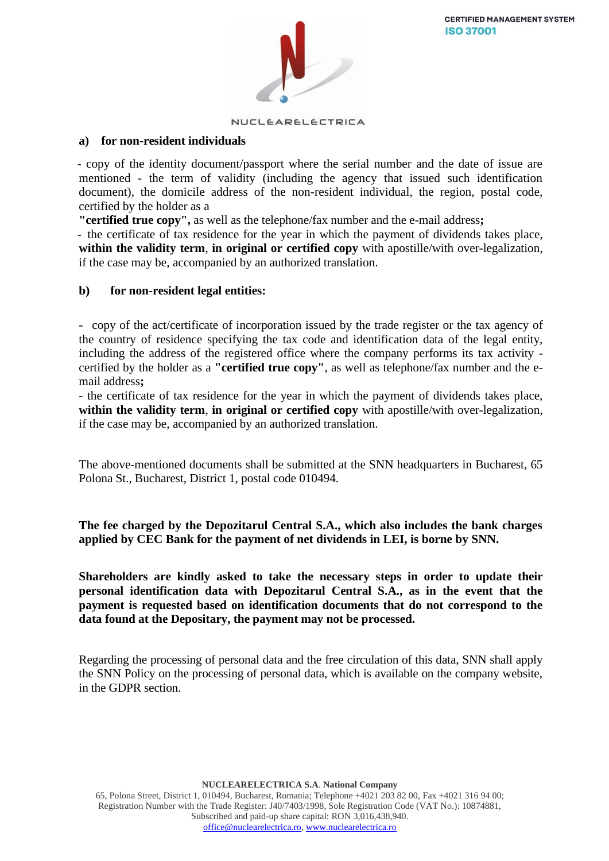

### **a) for non-resident individuals**

- copy of the identity document/passport where the serial number and the date of issue are mentioned - the term of validity (including the agency that issued such identification document), the domicile address of the non-resident individual, the region, postal code, certified by the holder as a

**"certified true copy",** as well as the telephone/fax number and the e-mail address**;**

- the certificate of tax residence for the year in which the payment of dividends takes place, **within the validity term**, **in original or certified copy** with apostille/with over-legalization, if the case may be, accompanied by an authorized translation.

### **b) for non-resident legal entities:**

- copy of the act/certificate of incorporation issued by the trade register or the tax agency of the country of residence specifying the tax code and identification data of the legal entity, including the address of the registered office where the company performs its tax activity certified by the holder as a **"certified true copy"**, as well as telephone/fax number and the email address**;**

- the certificate of tax residence for the year in which the payment of dividends takes place, **within the validity term**, **in original or certified copy** with apostille/with over-legalization, if the case may be, accompanied by an authorized translation.

The above-mentioned documents shall be submitted at the SNN headquarters in Bucharest, 65 Polona St., Bucharest, District 1, postal code 010494.

## **The fee charged by the Depozitarul Central S.A., which also includes the bank charges applied by CEC Bank for the payment of net dividends in LEI, is borne by SNN.**

**Shareholders are kindly asked to take the necessary steps in order to update their personal identification data with Depozitarul Central S.A., as in the event that the payment is requested based on identification documents that do not correspond to the data found at the Depositary, the payment may not be processed.**

Regarding the processing of personal data and the free circulation of this data, SNN shall apply the SNN Policy on the processing of personal data, which is available on the company website, in the GDPR section.